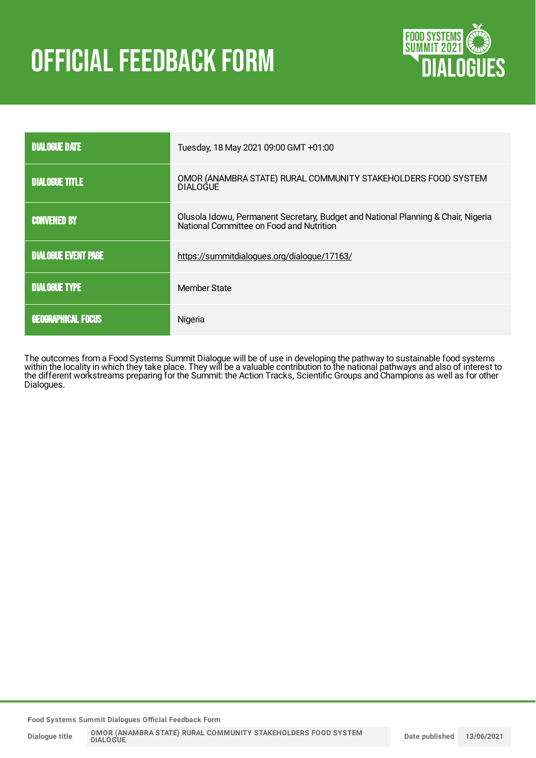# **OFFICIAL FEEDBACK FORM**



| <b>DIALOGUE DATE</b>       | Tuesday, 18 May 2021 09:00 GMT +01:00                                                                                         |
|----------------------------|-------------------------------------------------------------------------------------------------------------------------------|
| <b>DIALOGUE TITLE</b>      | OMOR (ANAMBRA STATE) RURAL COMMUNITY STAKEHOLDERS FOOD SYSTEM<br>DIALOGUE                                                     |
| <b>CONVENED BY</b>         | Olusola Idowu, Permanent Secretary, Budget and National Planning & Chair, Nigeria<br>National Committee on Food and Nutrition |
| <b>DIALOGUE EVENT PAGE</b> | https://summitdialogues.org/dialogue/17163/                                                                                   |
| <b>DIALOGUE TYPE</b>       | Member State                                                                                                                  |
| <b>GEOGRAPHICAL FOCUS</b>  | Nigeria                                                                                                                       |

The outcomes from a Food Systems Summit Dialogue will be of use in developing the pathway to sustainable food systems within the locality in which they take place. They will be a valuable contribution to the national pathways and also of interest to the different workstreams preparing for the Summit: the Action Tracks, Scientific Groups and Champions as well as for other Dialogues.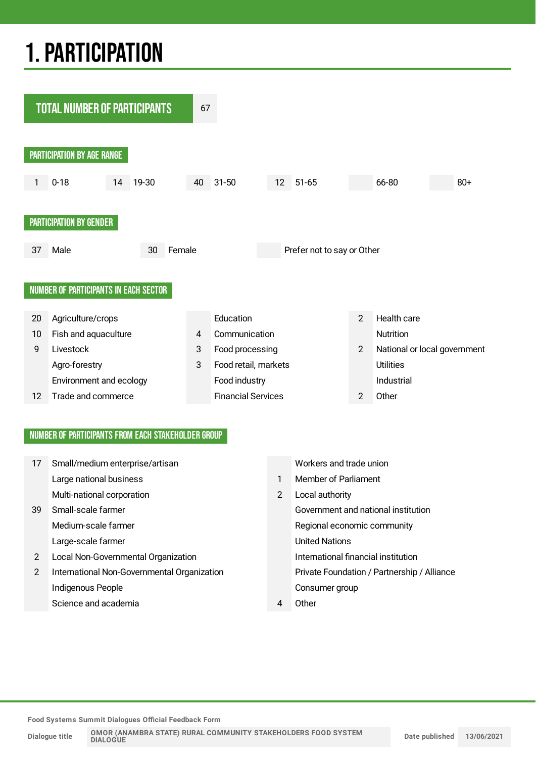## 1.PARTICIPATION



#### NUMBER OF PARTICIPANTS FROM EACH STAKEHOLDER GROUP

| 17 | Small/medium enterprise/artisan             |   | Workers and trade union                     |
|----|---------------------------------------------|---|---------------------------------------------|
|    | Large national business                     | 1 | Member of Parliament                        |
|    | Multi-national corporation                  | 2 | Local authority                             |
| 39 | Small-scale farmer                          |   | Government and national institution         |
|    | Medium-scale farmer                         |   | Regional economic community                 |
|    | Large-scale farmer                          |   | <b>United Nations</b>                       |
| 2  | Local Non-Governmental Organization         |   | International financial institution         |
| 2  | International Non-Governmental Organization |   | Private Foundation / Partnership / Alliance |
|    | Indigenous People                           |   | Consumer group                              |
|    | Science and academia                        | 4 | Other                                       |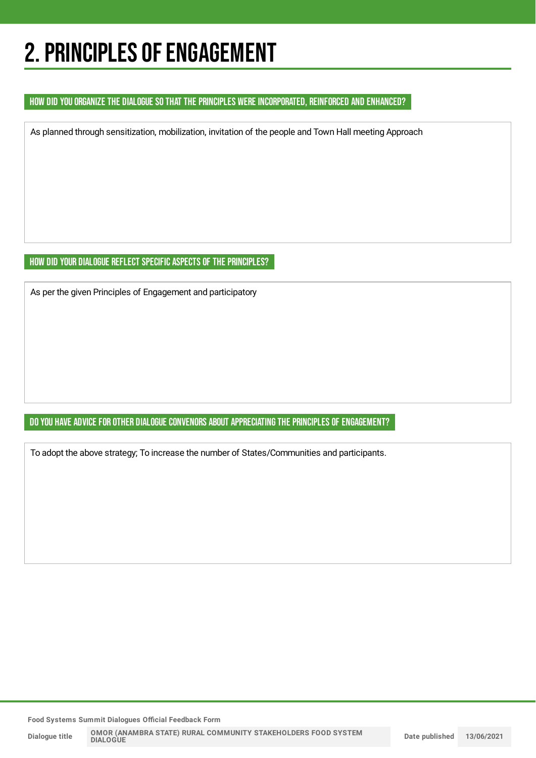### 2. PRINCIPLES OF ENGAGEMENT

#### HOW DID YOU ORGANIZE THE DIALOGUE SO THAT THE PRINCIPLES WERE INCORPORATED, REINFORCED AND ENHANCED?

As planned through sensitization, mobilization, invitation of the people and Town Hall meeting Approach

#### HOW DID YOUR DIALOGUE REFLECT SPECIFIC ASPECTS OF THE PRINCIPLES?

As per the given Principles of Engagement and participatory

#### DO YOU HAVE ADVICE FOR OTHER DIALOGUE CONVENORS ABOUT APPRECIATING THE PRINCIPLES OF ENGAGEMENT?

To adopt the above strategy; To increase the number of States/Communities and participants.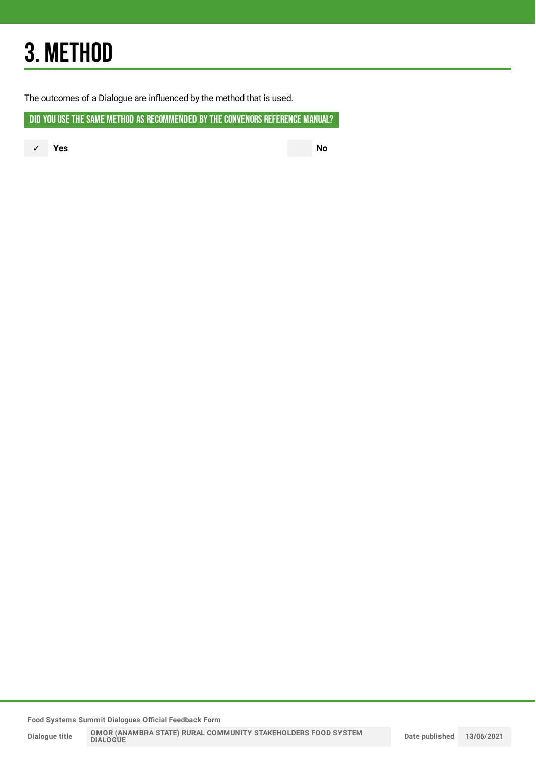## 3. METHOD

The outcomes of a Dialogue are influenced by the method that is used.

DID YOU USE THE SAME METHOD AS RECOMMENDED BY THE CONVENORS REFERENCE MANUAL?

✓ **Yes No**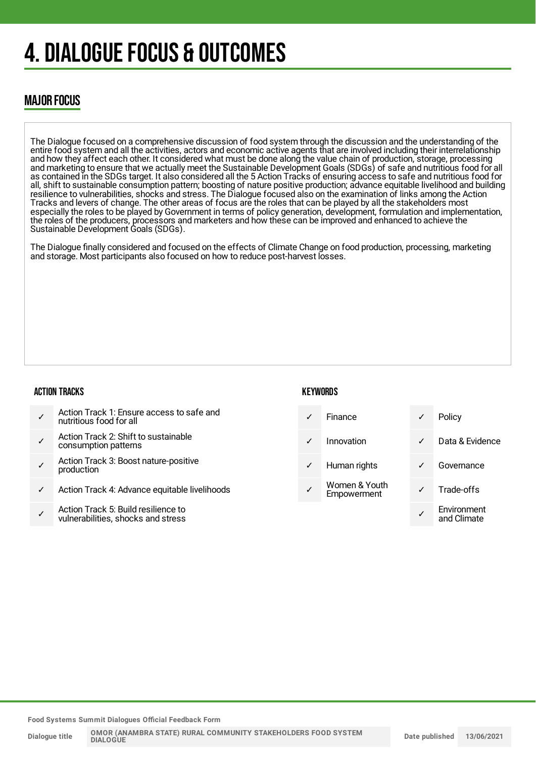### 4. DIALOGUE FOCUS & OUTCOMES

### MAJOR FOCUS

The Dialogue focused on a comprehensive discussion of food system through the discussion and the understanding of the entire food system and all the activities, actors and economic active agents that are involved including their interrelationship and how they affect each other. It considered what must be done along the value chain of production, storage, processing and marketing to ensure that we actually meet the Sustainable Development Goals (SDGs) of safe and nutritious food for all as contained in the SDGs target. It also considered all the 5 Action Tracks of ensuring access to safe and nutritious food for all, shift to sustainable consumption pattern; boosting of nature positive production; advance equitable livelihood and building resilience to vulnerabilities, shocks and stress. The Dialogue focused also on the examination of links among the Action Tracks and levers of change. The other areas of focus are the roles that can be played by all the stakeholders most especially the roles to be played by Government in terms of policy generation, development, formulation and implementation, the roles of the producers, processors and marketers and how these can be improved and enhanced to achieve the Sustainable Development Goals (SDGs).

The Dialogue finally considered and focused on the effects of Climate Change on food production, processing, marketing and storage. Most participants also focused on how to reduce post-harvest losses.

#### ACTION TRACKS

- ✓ Action Track 1: Ensure access to safe and nutritious food for all
- ✓ Action Track 2: Shift to sustainable consumption patterns
- ✓ Action Track 3: Boost nature-positive production
- Action Track 4: Advance equitable livelihoods
- ✓ Action Track 5: Build resilience to vulnerabilities, shocks and stress

#### **KFYWORDS**

|   | Finance                      | ✓ | Policy                     |
|---|------------------------------|---|----------------------------|
|   | Innovation                   | ✓ | Data & Evidence            |
| ✓ | Human rights                 |   | Governance                 |
|   | Women & Youth<br>Empowerment |   | Trade-offs                 |
|   |                              |   | Environment<br>and Climate |

**Food Systems Summit Dialogues Official Feedback Form**

**Dialogue title OMOR (ANAMBRA STATE) RURAL COMMUNITY STAKEHOLDERS FOOD SYSTEM DIALOGUE**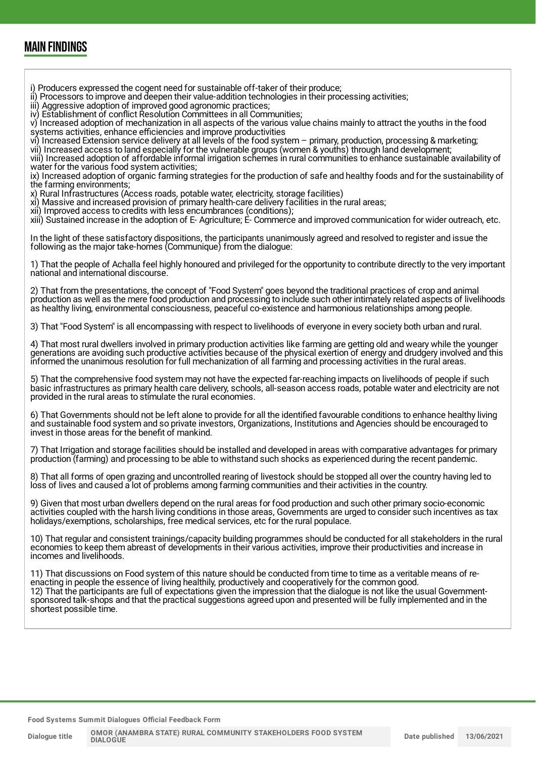### MAIN FINDINGS

- i) Producers expressed the cogent need for sustainable off-taker of their produce;
- ii) Processors to improve and deepen their value-addition technologies in their processing activities;
- iii) Aggressive adoption of improved good agronomic practices;

iv) Establishment of conflict Resolution Committees in all Communities;

v) Increased adoption of mechanization in all aspects of the various value chains mainly to attract the youths in the food systems activities, enhance efficiencies and improve productivities

vi) Increased Extension service delivery at all levels of the food system – primary, production, processing & marketing;

vii) Increased access to land especially for the vulnerable groups (women & youths) through land development;

viii) Increased adoption of affordable informal irrigation schemes in rural communities to enhance sustainable availability of water for the various food system activities;

ix) Increased adoption of organic farming strategies for the production of safe and healthy foods and for the sustainability of the farming environments;

x) Rural Infrastructures (Access roads, potable water, electricity, storage facilities)

xi) Massive and increased provision of primary health-care delivery facilities in the rural areas;

xii) Improved access to credits with less encumbrances (conditions);

xiii) Sustained increase in the adoption of E- Agriculture; E- Commerce and improved communication for wider outreach, etc.

In the light of these satisfactory dispositions, the participants unanimously agreed and resolved to register and issue the following as the major take-homes (Communique) from the dialogue:

1) That the people of Achalla feel highly honoured and privileged for the opportunity to contribute directly to the very important national and international discourse.

2) That from the presentations, the concept of "Food System" goes beyond the traditional practices of crop and animal production as well as the mere food production and processing to include such other intimately related aspects of livelihoods as healthy living, environmental consciousness, peaceful co-existence and harmonious relationships among people.

3) That "Food System" is all encompassing with respect to livelihoods of everyone in every society both urban and rural.

4) That most rural dwellers involved in primary production activities like farming are getting old and weary while the younger generations are avoiding such productive activities because of the physical exertion of energy and drudgery involved and this informed the unanimous resolution for full mechanization of all farming and processing activities in the rural areas.

5) That the comprehensive food system may not have the expected far-reaching impacts on livelihoods of people if such basic infrastructures as primary health care delivery, schools, all-season access roads, potable water and electricity are not provided in the rural areas to stimulate the rural economies.

6) That Governments should not be left alone to provide for all the identified favourable conditions to enhance healthy living and sustainable food system and so private investors, Organizations, Institutions and Agencies should be encouraged to invest in those areas for the benefit of mankind.

7) That Irrigation and storage facilities should be installed and developed in areas with comparative advantages for primary production (farming) and processing to be able to withstand such shocks as experienced during the recent pandemic.

8) That all forms of open grazing and uncontrolled rearing of livestock should be stopped all over the country having led to loss of lives and caused a lot of problems among farming communities and their activities in the country.

9) Given that most urban dwellers depend on the rural areas for food production and such other primary socio-economic activities coupled with the harsh living conditions in those areas, Governments are urged to consider such incentives as tax holidays/exemptions, scholarships, free medical services, etc for the rural populace.

10) That regular and consistent trainings/capacity building programmes should be conducted for all stakeholders in the rural economies to keep them abreast of developments in their various activities, improve their productivities and increase in incomes and livelihoods.

11) That discussions on Food system of this nature should be conducted from time to time as a veritable means of reenacting in people the essence of living healthily, productively and cooperatively for the common good. 12) That the participants are full of expectations given the impression that the dialogue is not like the usual Governmentsponsored talk-shops and that the practical suggestions agreed upon and presented will be fully implemented and in the shortest possible time.

**Food Systems Summit Dialogues Official Feedback Form**

**Dialogue title**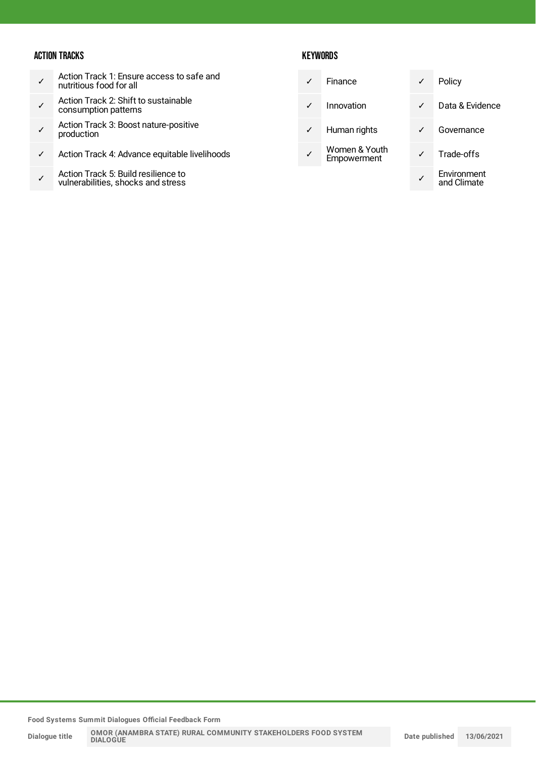#### ACTION TRACKS

- ✓ Action Track 1: Ensure access to safe and nutritious food for all
- ✓ Action Track 2: Shift to sustainable consumption patterns
- ✓ Action Track 3: Boost nature-positive production
- ✓ Action Track 4: Advance equitable livelihoods
- ✓ Action Track 5: Build resilience to vulnerabilities, shocks and stress

#### **KEYWORDS**

| Finance                      | ✓ | Policy                     |
|------------------------------|---|----------------------------|
| Innovation                   |   | Data & Evidence            |
| Human rights                 |   | Governance                 |
| Women & Youth<br>Empowerment |   | Trade-offs                 |
|                              |   | Environment<br>and Climate |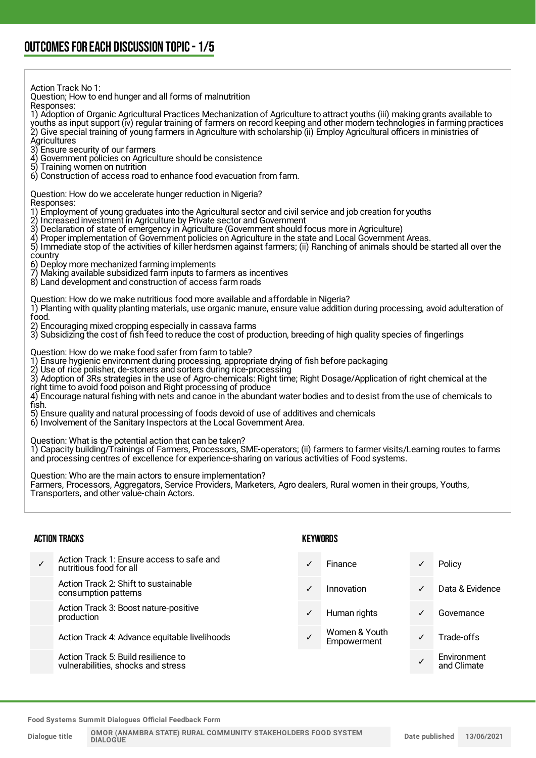Action Track No 1: Question; How to end hunger and all forms of malnutrition Responses: 1) Adoption of Organic Agricultural Practices Mechanization of Agriculture to attract youths (iii) making grants available to youths as input support (iv) regular training of farmers on record keeping and other modern technologies in farming practices 2) Give special training of young farmers in Agriculture with scholarship (ii) Employ Agricultural officers in ministries of **Agricultures** 3) Ensure security of our farmers 4) Government policies on Agriculture should be consistence<br>5) Training women on nutrition Training women on nutrition 6) Construction of access road to enhance food evacuation from farm. Question: How do we accelerate hunger reduction in Nigeria? Responses: 1) Employment of young graduates into the Agricultural sector and civil service and job creation for youths 2) Increased investment in Agriculture by Private sector and Government 3) Declaration of state of emergency in Agriculture (Government should focus more in Agriculture) 4) Proper implementation of Government policies on Agriculture in the state and Local Government Areas. 5) Immediate stop of the activities of killer herdsmen against farmers; (ii) Ranching of animals should be started all over the country 6) Deploy more mechanized farming implements 7) Making available subsidized farm inputs to farmers as incentives 8) Land development and construction of access farm roads Question: How do we make nutritious food more available and affordable in Nigeria? 1) Planting with quality planting materials, use organic manure, ensure value addition during processing, avoid adulteration of food. 2) Encouraging mixed cropping especially in cassava farms 3) Subsidizing the cost of fish feed to reduce the cost of production, breeding of high quality species of fingerlings Question: How do we make food safer from farm to table? 1) Ensure hygienic environment during processing, appropriate drying of fish before packaging 2) Use of rice polisher, de-stoners and sorters during rice-processing<br>3) Adoption of 3Rs strategies in the use of Agro-chemicals: Right time 3) Adoption of 3Rs strategies in the use of Agro-chemicals: Right time; Right Dosage/Application of right chemical at the right time to avoid food poison and Right processing of produce 4) Encourage natural fishing with nets and canoe in the abundant water bodies and to desist from the use of chemicals to fish. 5) Ensure quality and natural processing of foods devoid of use of additives and chemicals 6) Involvement of the Sanitary Inspectors at the Local Government Area. Question: What is the potential action that can be taken? 1) Capacity building/Trainings of Farmers, Processors, SME-operators; (ii) farmers to farmer visits/Learning routes to farms and processing centres of excellence for experience-sharing on various activities of Food systems. Question: Who are the main actors to ensure implementation? Farmers, Processors, Aggregators, Service Providers, Marketers, Agro dealers, Rural women in their groups, Youths, Transporters, and other value-chain Actors. ACTION TRACKS ✓ Action Track 1: Ensure access to safe and nutritious food for all **KEYWORDS** Finance **√** Policy

Action Track 2: Shift to sustainable consumption patterns

Action Track 3: Boost nature-positive production

Action Track 4: Advance equitable livelihoods

Action Track 5: Build resilience to vulnerabilities, shocks and stress

- Women & Youth Wornen & Youn<br>Empowerment V Trade-offs
- ✓ Innovation ✓ Data & Evidence
- Human rights **V** Governance
	-
	- ✓ Environment and Climate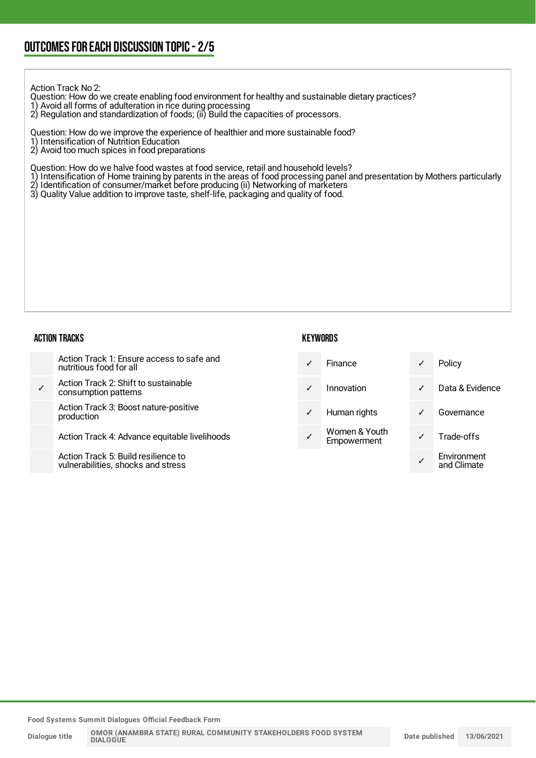Action Track No 2:

Question: How do we create enabling food environment for healthy and sustainable dietary practices?

- 1) Avoid all forms of adulteration in rice during processing
- 2) Regulation and standardization of foods; (ii) Build the capacities of processors.

Question: How do we improve the experience of healthier and more sustainable food?

- 1) Intensification of Nutrition Education
- 2) Avoid too much spices in food preparations

Question: How do we halve food wastes at food service, retail and household levels?

- 1) Intensification of Home training by parents in the areas of food processing panel and presentation by Mothers particularly
- 2) Identification of consumer/market before producing (ii) Networking of marketers
- 3) Quality Value addition to improve taste, shelf-life, packaging and quality of food.

#### ACTION TRACKS

| KEYWORDS |
|----------|
|----------|

|              | Action Track 1: Ensure access to safe and<br>nutritious food for all | $\checkmark$ | <b>Finance</b>               | ✓            | Policy          |
|--------------|----------------------------------------------------------------------|--------------|------------------------------|--------------|-----------------|
| $\checkmark$ | Action Track 2: Shift to sustainable<br>consumption patterns         | $\checkmark$ | Innovation                   | $\checkmark$ | Data & Evidence |
|              | Action Track 3: Boost nature-positive<br>production                  | $\checkmark$ | Human rights                 | ✓            | Governance      |
|              | Action Track 4: Advance equitable livelihoods                        |              | Women & Youth<br>Empowerment |              | Trade-offs      |
|              | Action Track 5: Build resilience to                                  |              |                              |              | Environment     |

**Food Systems Summit Dialogues Official Feedback Form**

vulnerabilities, shocks and stress

✓

and Climate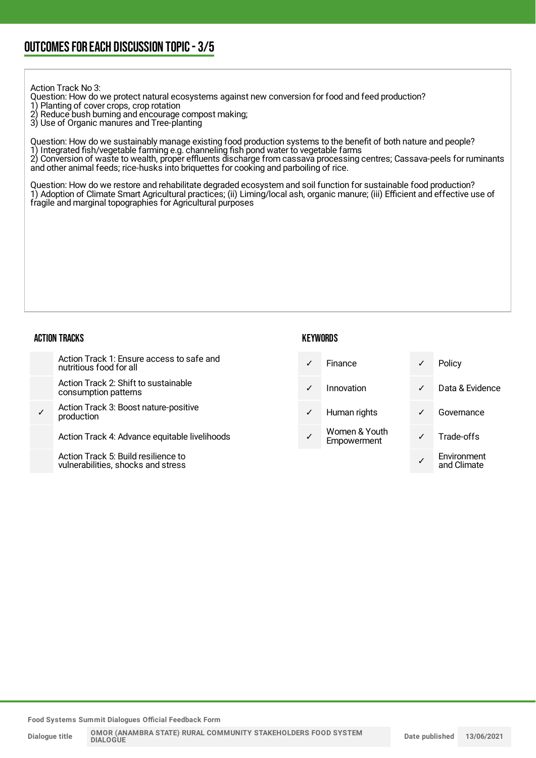Action Track No 3:

- Question: How do we protect natural ecosystems against new conversion for food and feed production?
- 1) Planting of cover crops, crop rotation
- 2) Reduce bush burning and encourage compost making;
- 3) Use of Organic manures and Tree-planting

Question: How do we sustainably manage existing food production systems to the benefit of both nature and people? 1) Integrated fish/vegetable farming e.g. channeling fish pond water to vegetable farms 2) Conversion of waste to wealth, proper effluents discharge from cassava processing centres; Cassava-peels for ruminants and other animal feeds; rice-husks into briquettes for cooking and parboiling of rice.

Question: How do we restore and rehabilitate degraded ecosystem and soil function for sustainable food production? 1) Adoption of Climate Smart Agricultural practices; (ii) Liming/local ash, organic manure; (iii) Efficient and effective use of fragile and marginal topographies for Agricultural purposes

#### ACTION TRACKS

|   | Action Track 1: Ensure access to safe and<br>nutritious food for all     | $\checkmark$ | <b>Finance</b>               | $\checkmark$ | Policy                     |
|---|--------------------------------------------------------------------------|--------------|------------------------------|--------------|----------------------------|
|   | Action Track 2: Shift to sustainable<br>consumption patterns             | $\checkmark$ | Innovation                   | $\checkmark$ | Data & Evidence            |
| ✓ | Action Track 3: Boost nature-positive<br>production                      | $\checkmark$ | Human rights                 | $\checkmark$ | Governance                 |
|   | Action Track 4: Advance equitable livelihoods                            | ✓            | Women & Youth<br>Empowerment | $\checkmark$ | Trade-offs                 |
|   | Action Track 5: Build resilience to<br>vulnerabilities shocks and stress |              |                              |              | Environment<br>and Climata |

**Food Systems Summit Dialogues Official Feedback Form**

vulnerabilities, shocks and stress

and Climate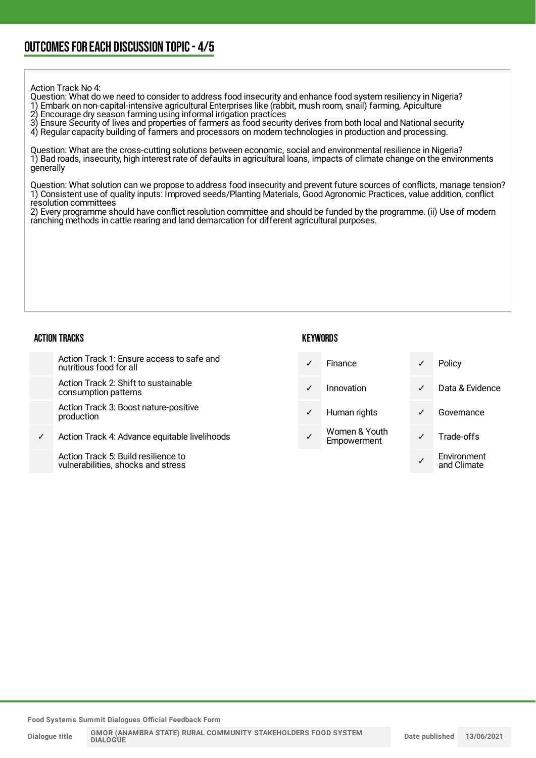Action Track No 4:

Question: What do we need to consider to address food insecurity and enhance food system resiliency in Nigeria? 1) Embark on non-capital-intensive agricultural Enterprises like (rabbit, mush room, snail) farming, Apiculture<br>2) Encourage dry season farming using informal irrigation practices 2) Encourage dry season farming using informal irrigation practices

3) Ensure Security of lives and properties of farmers as food security derives from both local and National security

4) Regular capacity building of farmers and processors on modern technologies in production and processing.

Question: What are the cross-cutting solutions between economic, social and environmental resilience in Nigeria? 1) Bad roads, insecurity, high interest rate of defaults in agricultural loans, impacts of climate change on the environments generally

Question: What solution can we propose to address food insecurity and prevent future sources of conflicts, manage tension? 1) Consistent use of quality inputs: Improved seeds/Planting Materials, Good Agronomic Practices, value addition, conflict resolution committees

2) Every programme should have conflict resolution committee and should be funded by the programme. (ii) Use of modern ranching methods in cattle rearing and land demarcation for different agricultural purposes.

#### ACTION TRACKS

| <b>KEYWORDS</b> |
|-----------------|
|-----------------|

|   | Action Track 1: Ensure access to safe and<br>nutritious food for all |   | <b>Finance</b>               |   | Policy          |
|---|----------------------------------------------------------------------|---|------------------------------|---|-----------------|
|   | Action Track 2: Shift to sustainable<br>consumption patterns         | ✓ | Innovation                   | ✓ | Data & Evidence |
|   | Action Track 3: Boost nature-positive<br>production                  | ✓ | Human rights                 | ✓ | Governance      |
| ✓ | Action Track 4: Advance equitable livelihoods                        |   | Women & Youth<br>Empowerment |   | Trade-offs      |

Action Track 5: Build resilience to vulnerabilities, shocks and stress

**Food Systems Summit Dialogues Official Feedback Form**

✓

Environment and Climate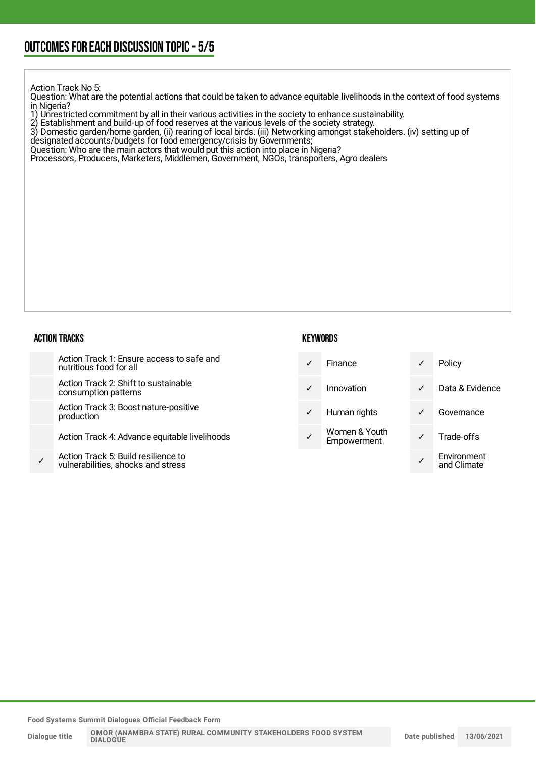Action Track No 5:

Question: What are the potential actions that could be taken to advance equitable livelihoods in the context of food systems in Nigeria?

1) Unrestricted commitment by all in their various activities in the society to enhance sustainability.

2) Establishment and build-up of food reserves at the various levels of the society strategy.

3) Domestic garden/home garden, (ii) rearing of local birds. (iii) Networking amongst stakeholders. (iv) setting up of

designated accounts/budgets for food emergency/crisis by Governments;

Question: Who are the main actors that would put this action into place in Nigeria?

Processors, Producers, Marketers, Middlemen, Government, NGOs, transporters, Agro dealers

#### ACTION TRACKS

|   | Action Track 1: Ensure access to safe and<br>nutritious food for all      | ✓ | Finance                      | ✓ | Policy                     |
|---|---------------------------------------------------------------------------|---|------------------------------|---|----------------------------|
|   | Action Track 2: Shift to sustainable<br>consumption patterns              | ✓ | Innovation                   | ✓ | Data & Evidence            |
|   | Action Track 3: Boost nature-positive<br>production                       | ✓ | Human rights                 | ✓ | Governance                 |
|   | Action Track 4: Advance equitable livelihoods                             |   | Women & Youth<br>Empowerment |   | Trade-offs                 |
| ✓ | Action Track 5: Build resilience to<br>vulnerabilities, shocks and stress |   |                              |   | Environment<br>and Climate |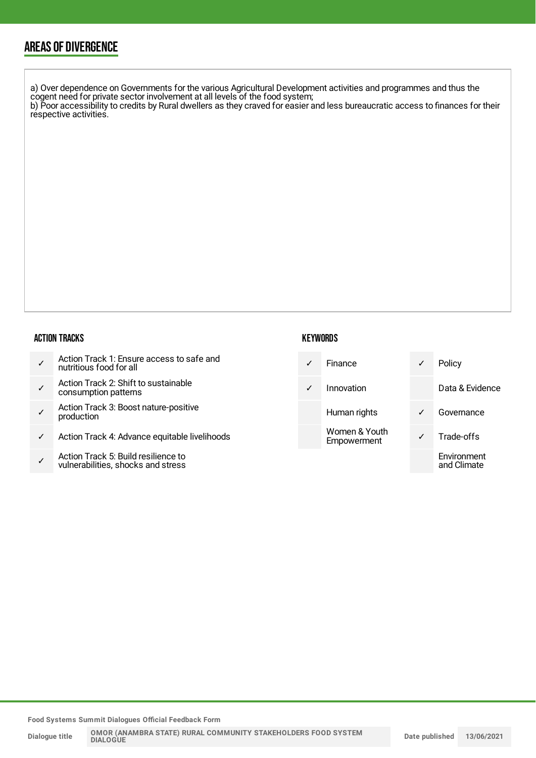### AREAS OF DIVERGENCE

a) Over dependence on Governments for the various Agricultural Development activities and programmes and thus the cogent need for private sector involvement at all levels of the food system; b) Poor accessibility to credits by Rural dwellers as they craved for easier and less bureaucratic access to finances for their respective activities.

#### ACTION TRACKS

| Action Track 1: Ensure access to safe and<br>nutritious food for all |
|----------------------------------------------------------------------|
|                                                                      |

- ✓ Action Track 2: Shift to sustainable consumption patterns
- ✓ Action Track 3: Boost nature-positive production
- Action Track 4: Advance equitable livelihoods
- ✓ Action Track 5: Build resilience to vulnerabilities, shocks and stress

#### **KEYWORDS**